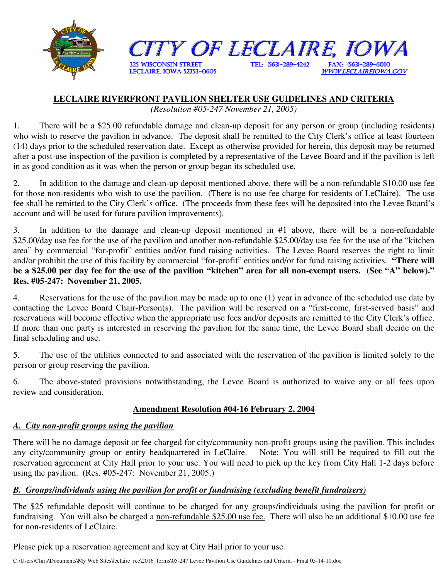

# **LECLAIRE RIVERFRONT PAVILION SHELTER USE GUIDELINES AND CRITERIA**

*(Resolution #05-247 November 21, 2005)* 

1. There will be a \$25.00 refundable damage and clean-up deposit for any person or group (including residents) who wish to reserve the pavilion in advance. The deposit shall be remitted to the City Clerk's office at least fourteen (14) days prior to the scheduled reservation date. Except as otherwise provided for herein, this deposit may be returned after a post-use inspection of the pavilion is completed by a representative of the Levee Board and if the pavilion is left in as good condition as it was when the person or group began its scheduled use.

2. In addition to the damage and clean-up deposit mentioned above, there will be a non-refundable \$10.00 use fee for those non-residents who wish to use the pavilion. (There is no use fee charge for residents of LeClaire). The use fee shall be remitted to the City Clerk's office. (The proceeds from these fees will be deposited into the Levee Board's account and will be used for future pavilion improvements).

3. In addition to the damage and clean-up deposit mentioned in #1 above, there will be a non-refundable \$25.00/day use fee for the use of the pavilion and another non-refundable \$25.00/day use fee for the use of the "kitchen area" by commercial "for-profit" entities and/or fund raising activities. The Levee Board reserves the right to limit and/or prohibit the use of this facility by commercial "for-profit" entities and/or for fund raising activities. **"There will be a \$25.00 per day fee for the use of the pavilion "kitchen" area for all non-exempt users. (See "A" below)." Res. #05-247: November 21, 2005.**

4. Reservations for the use of the pavilion may be made up to one (1) year in advance of the scheduled use date by contacting the Levee Board Chair-Person(s). The pavilion will be reserved on a "first-come, first-served basis" and reservations will become effective when the appropriate use fees and/or deposits are remitted to the City Clerk's office. If more than one party is interested in reserving the pavilion for the same time, the Levee Board shall decide on the final scheduling and use.

5. The use of the utilities connected to and associated with the reservation of the pavilion is limited solely to the person or group reserving the pavilion.

6. The above-stated provisions notwithstanding, the Levee Board is authorized to waive any or all fees upon review and consideration.

## **Amendment Resolution #04-16 February 2, 2004**

## *A. City non-profit groups using the pavilion*

There will be no damage deposit or fee charged for city/community non-profit groups using the pavilion. This includes any city/community group or entity headquartered in LeClaire. Note: You will still be required to fill out the reservation agreement at City Hall prior to your use. You will need to pick up the key from City Hall 1-2 days before using the pavilion. (Res. #05-247: November 21, 2005.)

## *B. Groups/individuals using the pavilion for profit or fundraising (excluding benefit fundraisers)*

The \$25 refundable deposit will continue to be charged for any groups/individuals using the pavilion for profit or fundraising. You will also be charged a non-refundable \$25.00 use fee. There will also be an additional \$10.00 use fee for non-residents of LeClaire.

Please pick up a reservation agreement and key at City Hall prior to your use.

C:\Users\Chris\Documents\My Web Sites\leclaire\_rec\2016\_forms\05-247 Levee Pavilion Use Guidelines and Criteria - Final 05-14-10.doc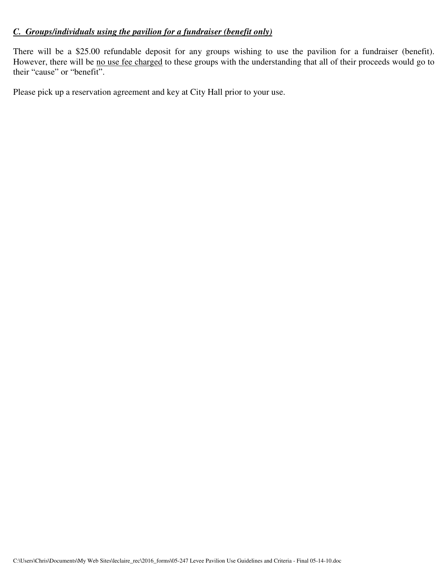## *C. Groups/individuals using the pavilion for a fundraiser (benefit only)*

There will be a \$25.00 refundable deposit for any groups wishing to use the pavilion for a fundraiser (benefit). However, there will be no use fee charged to these groups with the understanding that all of their proceeds would go to their "cause" or "benefit".

Please pick up a reservation agreement and key at City Hall prior to your use.